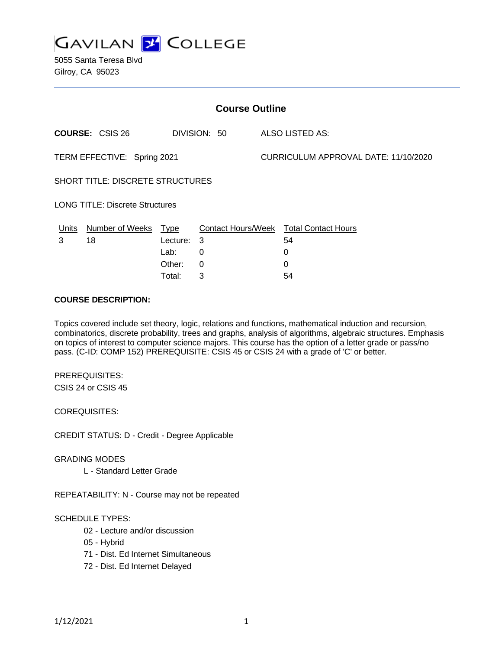

5055 Santa Teresa Blvd Gilroy, CA 95023

| <b>Course Outline</b>                  |                        |          |              |  |                                               |  |
|----------------------------------------|------------------------|----------|--------------|--|-----------------------------------------------|--|
|                                        | <b>COURSE: CSIS 26</b> |          | DIVISION: 50 |  | ALSO LISTED AS:                               |  |
| TERM EFFECTIVE: Spring 2021            |                        |          |              |  | CURRICULUM APPROVAL DATE: 11/10/2020          |  |
| SHORT TITLE: DISCRETE STRUCTURES       |                        |          |              |  |                                               |  |
| <b>LONG TITLE: Discrete Structures</b> |                        |          |              |  |                                               |  |
| <u>Units</u>                           | Number of Weeks Type   |          |              |  | <b>Contact Hours/Week Total Contact Hours</b> |  |
| 3                                      | 18                     | Lecture: | -3           |  | 54                                            |  |
|                                        |                        | Lab:     | $\Omega$     |  | 0                                             |  |
|                                        |                        | Other:   | $\Omega$     |  | 0                                             |  |
|                                        |                        | Total:   | 3            |  | 54                                            |  |

#### **COURSE DESCRIPTION:**

Topics covered include set theory, logic, relations and functions, mathematical induction and recursion, combinatorics, discrete probability, trees and graphs, analysis of algorithms, algebraic structures. Emphasis on topics of interest to computer science majors. This course has the option of a letter grade or pass/no pass. (C-ID: COMP 152) PREREQUISITE: CSIS 45 or CSIS 24 with a grade of 'C' or better.

PREREQUISITES: CSIS 24 or CSIS 45

COREQUISITES:

CREDIT STATUS: D - Credit - Degree Applicable

GRADING MODES

L - Standard Letter Grade

REPEATABILITY: N - Course may not be repeated

#### SCHEDULE TYPES:

- 02 Lecture and/or discussion
- 05 Hybrid
- 71 Dist. Ed Internet Simultaneous
- 72 Dist. Ed Internet Delayed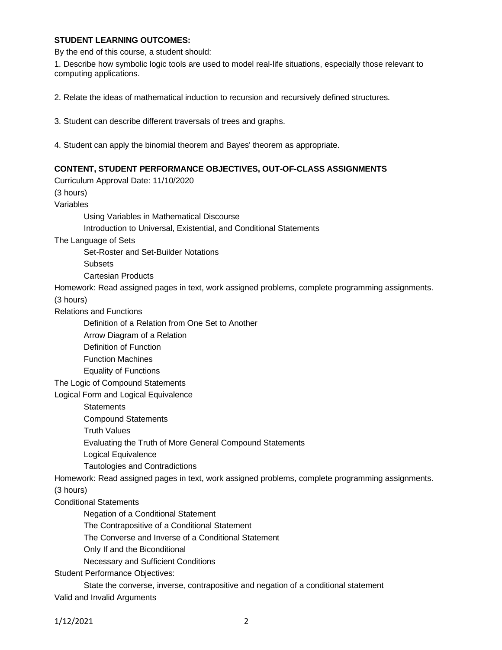### **STUDENT LEARNING OUTCOMES:**

By the end of this course, a student should:

1. Describe how symbolic logic tools are used to model real-life situations, especially those relevant to computing applications.

- 2. Relate the ideas of mathematical induction to recursion and recursively defined structures.
- 3. Student can describe different traversals of trees and graphs.
- 4. Student can apply the binomial theorem and Bayes' theorem as appropriate.

### **CONTENT, STUDENT PERFORMANCE OBJECTIVES, OUT-OF-CLASS ASSIGNMENTS**

Curriculum Approval Date: 11/10/2020 (3 hours) Variables Using Variables in Mathematical Discourse Introduction to Universal, Existential, and Conditional Statements The Language of Sets Set-Roster and Set-Builder Notations **Subsets** Cartesian Products Homework: Read assigned pages in text, work assigned problems, complete programming assignments. (3 hours) Relations and Functions Definition of a Relation from One Set to Another Arrow Diagram of a Relation Definition of Function Function Machines Equality of Functions The Logic of Compound Statements Logical Form and Logical Equivalence **Statements** Compound Statements Truth Values Evaluating the Truth of More General Compound Statements Logical Equivalence Tautologies and Contradictions Homework: Read assigned pages in text, work assigned problems, complete programming assignments. (3 hours) Conditional Statements Negation of a Conditional Statement The Contrapositive of a Conditional Statement The Converse and Inverse of a Conditional Statement Only If and the Biconditional Necessary and Sufficient Conditions Student Performance Objectives: State the converse, inverse, contrapositive and negation of a conditional statement Valid and Invalid Arguments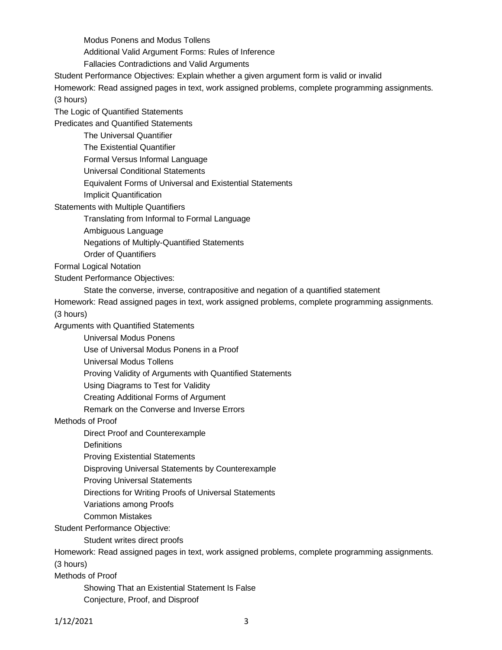Modus Ponens and Modus Tollens

Additional Valid Argument Forms: Rules of Inference

Fallacies Contradictions and Valid Arguments

Student Performance Objectives: Explain whether a given argument form is valid or invalid

Homework: Read assigned pages in text, work assigned problems, complete programming assignments. (3 hours)

The Logic of Quantified Statements

Predicates and Quantified Statements

The Universal Quantifier

The Existential Quantifier

Formal Versus Informal Language

Universal Conditional Statements

Equivalent Forms of Universal and Existential Statements

Implicit Quantification

Statements with Multiple Quantifiers

Translating from Informal to Formal Language

Ambiguous Language

Negations of Multiply-Quantified Statements

Order of Quantifiers

Formal Logical Notation

Student Performance Objectives:

State the converse, inverse, contrapositive and negation of a quantified statement

Homework: Read assigned pages in text, work assigned problems, complete programming assignments.

(3 hours)

Arguments with Quantified Statements

Universal Modus Ponens

Use of Universal Modus Ponens in a Proof

Universal Modus Tollens

Proving Validity of Arguments with Quantified Statements

Using Diagrams to Test for Validity

Creating Additional Forms of Argument

Remark on the Converse and Inverse Errors

Methods of Proof

Direct Proof and Counterexample

**Definitions** 

Proving Existential Statements

Disproving Universal Statements by Counterexample

Proving Universal Statements

Directions for Writing Proofs of Universal Statements

Variations among Proofs

Common Mistakes

Student Performance Objective:

Student writes direct proofs

Homework: Read assigned pages in text, work assigned problems, complete programming assignments.

(3 hours)

Methods of Proof

Showing That an Existential Statement Is False Conjecture, Proof, and Disproof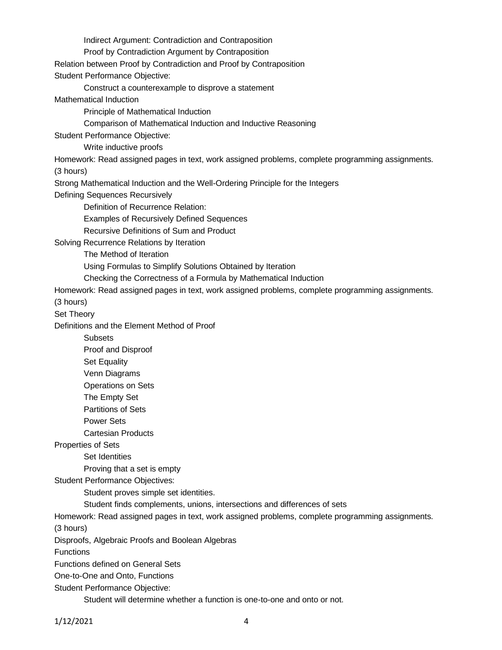Indirect Argument: Contradiction and Contraposition Proof by Contradiction Argument by Contraposition Relation between Proof by Contradiction and Proof by Contraposition Student Performance Objective: Construct a counterexample to disprove a statement Mathematical Induction Principle of Mathematical Induction Comparison of Mathematical Induction and Inductive Reasoning Student Performance Objective: Write inductive proofs Homework: Read assigned pages in text, work assigned problems, complete programming assignments. (3 hours) Strong Mathematical Induction and the Well-Ordering Principle for the Integers Defining Sequences Recursively Definition of Recurrence Relation: Examples of Recursively Defined Sequences Recursive Definitions of Sum and Product Solving Recurrence Relations by Iteration The Method of Iteration Using Formulas to Simplify Solutions Obtained by Iteration Checking the Correctness of a Formula by Mathematical Induction Homework: Read assigned pages in text, work assigned problems, complete programming assignments. (3 hours) Set Theory Definitions and the Element Method of Proof **Subsets** Proof and Disproof Set Equality Venn Diagrams Operations on Sets The Empty Set Partitions of Sets Power Sets Cartesian Products Properties of Sets Set Identities Proving that a set is empty Student Performance Objectives: Student proves simple set identities. Student finds complements, unions, intersections and differences of sets Homework: Read assigned pages in text, work assigned problems, complete programming assignments. (3 hours) Disproofs, Algebraic Proofs and Boolean Algebras **Functions** Functions defined on General Sets One-to-One and Onto, Functions Student Performance Objective: Student will determine whether a function is one-to-one and onto or not.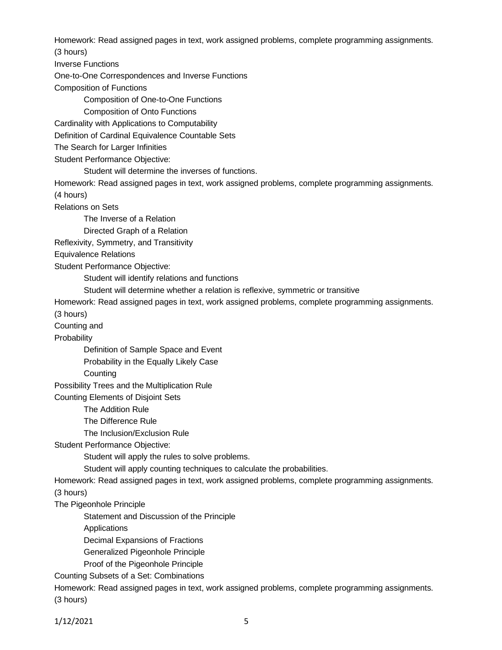Homework: Read assigned pages in text, work assigned problems, complete programming assignments. (3 hours)

Inverse Functions

One-to-One Correspondences and Inverse Functions

Composition of Functions

Composition of One-to-One Functions

Composition of Onto Functions

Cardinality with Applications to Computability

Definition of Cardinal Equivalence Countable Sets

The Search for Larger Infinities

Student Performance Objective:

Student will determine the inverses of functions.

Homework: Read assigned pages in text, work assigned problems, complete programming assignments. (4 hours)

Relations on Sets

The Inverse of a Relation

Directed Graph of a Relation

Reflexivity, Symmetry, and Transitivity

Equivalence Relations

Student Performance Objective:

Student will identify relations and functions

Student will determine whether a relation is reflexive, symmetric or transitive

Homework: Read assigned pages in text, work assigned problems, complete programming assignments.

(3 hours)

Counting and

**Probability** 

Definition of Sample Space and Event

Probability in the Equally Likely Case

**Counting** 

Possibility Trees and the Multiplication Rule

Counting Elements of Disjoint Sets

The Addition Rule

The Difference Rule

The Inclusion/Exclusion Rule

Student Performance Objective:

Student will apply the rules to solve problems.

Student will apply counting techniques to calculate the probabilities.

Homework: Read assigned pages in text, work assigned problems, complete programming assignments.

(3 hours)

The Pigeonhole Principle

Statement and Discussion of the Principle

Applications

Decimal Expansions of Fractions

Generalized Pigeonhole Principle

Proof of the Pigeonhole Principle

Counting Subsets of a Set: Combinations

Homework: Read assigned pages in text, work assigned problems, complete programming assignments. (3 hours)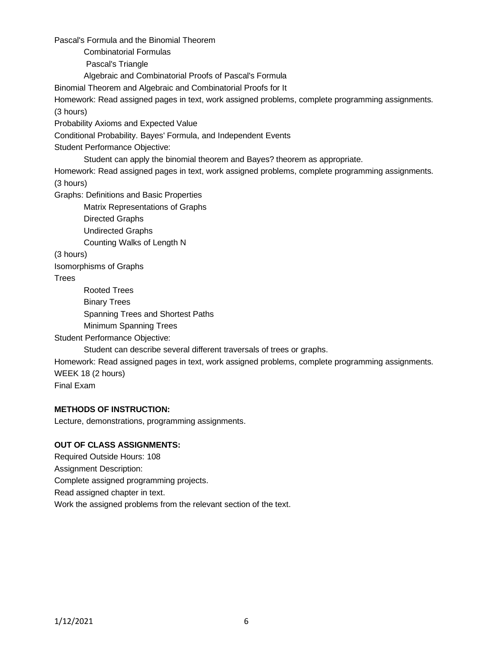Pascal's Formula and the Binomial Theorem

Combinatorial Formulas

Pascal's Triangle

Algebraic and Combinatorial Proofs of Pascal's Formula

Binomial Theorem and Algebraic and Combinatorial Proofs for It

Homework: Read assigned pages in text, work assigned problems, complete programming assignments. (3 hours)

Probability Axioms and Expected Value

Conditional Probability. Bayes' Formula, and Independent Events

Student Performance Objective:

Student can apply the binomial theorem and Bayes? theorem as appropriate.

Homework: Read assigned pages in text, work assigned problems, complete programming assignments. (3 hours)

Graphs: Definitions and Basic Properties

Matrix Representations of Graphs

Directed Graphs

Undirected Graphs

Counting Walks of Length N

(3 hours)

Isomorphisms of Graphs

**Trees** 

Rooted Trees Binary Trees Spanning Trees and Shortest Paths Minimum Spanning Trees

Student Performance Objective:

Student can describe several different traversals of trees or graphs.

Homework: Read assigned pages in text, work assigned problems, complete programming assignments. WEEK 18 (2 hours)

Final Exam

# **METHODS OF INSTRUCTION:**

Lecture, demonstrations, programming assignments.

# **OUT OF CLASS ASSIGNMENTS:**

Required Outside Hours: 108 Assignment Description: Complete assigned programming projects. Read assigned chapter in text. Work the assigned problems from the relevant section of the text.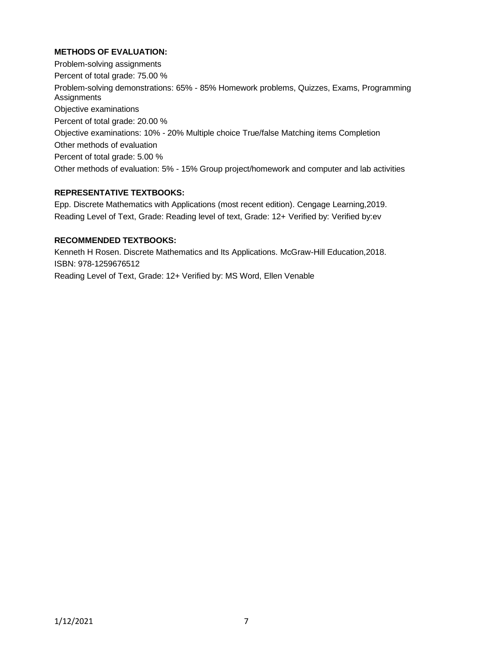# **METHODS OF EVALUATION:**

Problem-solving assignments Percent of total grade: 75.00 % Problem-solving demonstrations: 65% - 85% Homework problems, Quizzes, Exams, Programming Assignments Objective examinations Percent of total grade: 20.00 % Objective examinations: 10% - 20% Multiple choice True/false Matching items Completion Other methods of evaluation Percent of total grade: 5.00 % Other methods of evaluation: 5% - 15% Group project/homework and computer and lab activities

## **REPRESENTATIVE TEXTBOOKS:**

Epp. Discrete Mathematics with Applications (most recent edition). Cengage Learning,2019. Reading Level of Text, Grade: Reading level of text, Grade: 12+ Verified by: Verified by:ev

## **RECOMMENDED TEXTBOOKS:**

Kenneth H Rosen. Discrete Mathematics and Its Applications. McGraw-Hill Education,2018. ISBN: 978-1259676512 Reading Level of Text, Grade: 12+ Verified by: MS Word, Ellen Venable